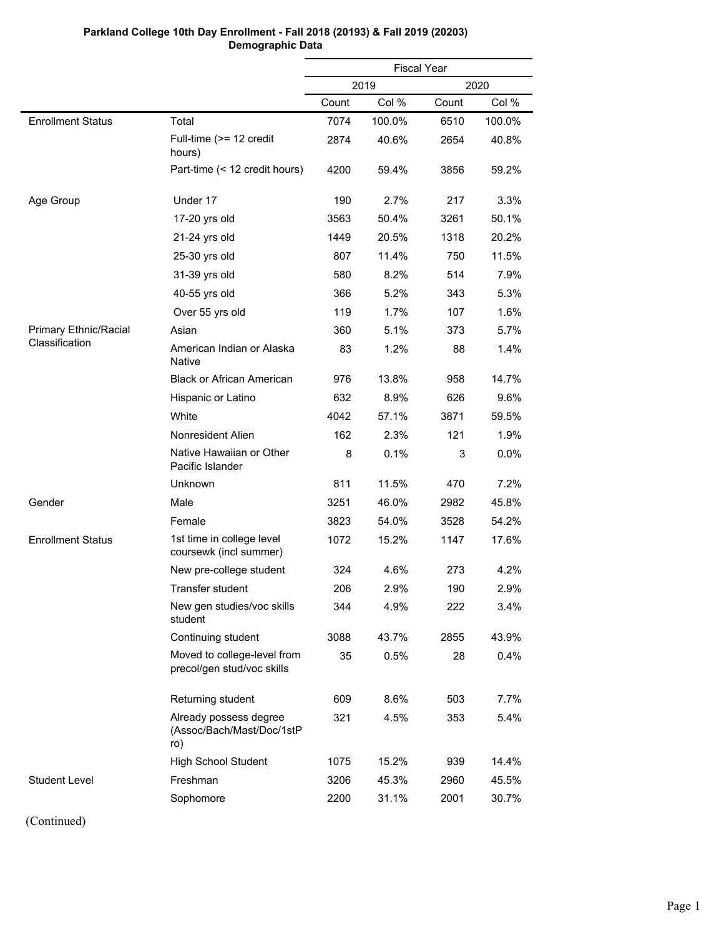|                          |                                                            | <b>Fiscal Year</b> |        |       |        |  |
|--------------------------|------------------------------------------------------------|--------------------|--------|-------|--------|--|
|                          |                                                            |                    | 2019   |       | 2020   |  |
|                          |                                                            | Count              | Col %  | Count | Col %  |  |
| <b>Enrollment Status</b> | Total                                                      | 7074               | 100.0% | 6510  | 100.0% |  |
|                          | Full-time (>= 12 credit<br>hours)                          | 2874               | 40.6%  | 2654  | 40.8%  |  |
|                          | Part-time (< 12 credit hours)                              | 4200               | 59.4%  | 3856  | 59.2%  |  |
| Age Group                | Under 17                                                   | 190                | 2.7%   | 217   | 3.3%   |  |
|                          | 17-20 yrs old                                              | 3563               | 50.4%  | 3261  | 50.1%  |  |
|                          | 21-24 yrs old                                              | 1449               | 20.5%  | 1318  | 20.2%  |  |
|                          | 25-30 yrs old                                              | 807                | 11.4%  | 750   | 11.5%  |  |
|                          | 31-39 yrs old                                              | 580                | 8.2%   | 514   | 7.9%   |  |
|                          | 40-55 yrs old                                              | 366                | 5.2%   | 343   | 5.3%   |  |
|                          | Over 55 yrs old                                            | 119                | 1.7%   | 107   | 1.6%   |  |
| Primary Ethnic/Racial    | Asian                                                      | 360                | 5.1%   | 373   | 5.7%   |  |
| Classification           | American Indian or Alaska<br><b>Native</b>                 | 83                 | 1.2%   | 88    | 1.4%   |  |
|                          | <b>Black or African American</b>                           | 976                | 13.8%  | 958   | 14.7%  |  |
|                          | Hispanic or Latino                                         | 632                | 8.9%   | 626   | 9.6%   |  |
|                          | White                                                      | 4042               | 57.1%  | 3871  | 59.5%  |  |
|                          | Nonresident Alien                                          | 162                | 2.3%   | 121   | 1.9%   |  |
|                          | Native Hawaiian or Other<br>Pacific Islander               | 8                  | 0.1%   | 3     | 0.0%   |  |
|                          | Unknown                                                    | 811                | 11.5%  | 470   | 7.2%   |  |
| Gender                   | Male                                                       | 3251               | 46.0%  | 2982  | 45.8%  |  |
|                          | Female                                                     | 3823               | 54.0%  | 3528  | 54.2%  |  |
| <b>Enrollment Status</b> | 1st time in college level<br>coursewk (incl summer)        | 1072               | 15.2%  | 1147  | 17.6%  |  |
|                          | New pre-college student                                    | 324                | 4.6%   | 273   | 4.2%   |  |
|                          | Transfer student                                           | 206                | 2.9%   | 190   | 2.9%   |  |
|                          | New gen studies/voc skills<br>student                      | 344                | 4.9%   | 222   | 3.4%   |  |
|                          | Continuing student                                         | 3088               | 43.7%  | 2855  | 43.9%  |  |
|                          | Moved to college-level from<br>precol/gen stud/voc skills  | 35                 | 0.5%   | 28    | 0.4%   |  |
|                          | Returning student                                          | 609                | 8.6%   | 503   | 7.7%   |  |
|                          | Already possess degree<br>(Assoc/Bach/Mast/Doc/1stP<br>ro) | 321                | 4.5%   | 353   | 5.4%   |  |
|                          | <b>High School Student</b>                                 | 1075               | 15.2%  | 939   | 14.4%  |  |
| <b>Student Level</b>     | Freshman                                                   | 3206               | 45.3%  | 2960  | 45.5%  |  |
|                          | Sophomore                                                  | 2200               | 31.1%  | 2001  | 30.7%  |  |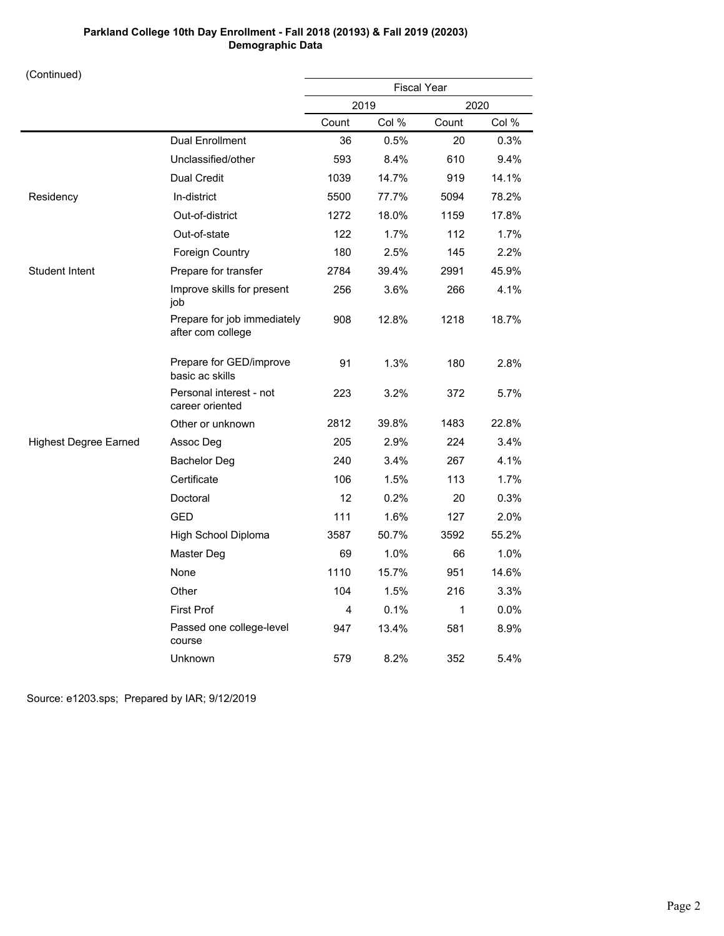(Continued)

| $($ Communica $)$            |                                                  |                    |       |       |       |
|------------------------------|--------------------------------------------------|--------------------|-------|-------|-------|
|                              |                                                  | <b>Fiscal Year</b> |       |       |       |
|                              |                                                  |                    | 2019  |       | 2020  |
|                              |                                                  | Count              | Col % | Count | Col % |
|                              | <b>Dual Enrollment</b>                           | 36                 | 0.5%  | 20    | 0.3%  |
|                              | Unclassified/other                               | 593                | 8.4%  | 610   | 9.4%  |
|                              | <b>Dual Credit</b>                               | 1039               | 14.7% | 919   | 14.1% |
| Residency                    | In-district                                      | 5500               | 77.7% | 5094  | 78.2% |
|                              | Out-of-district                                  | 1272               | 18.0% | 1159  | 17.8% |
|                              | Out-of-state                                     | 122                | 1.7%  | 112   | 1.7%  |
|                              | <b>Foreign Country</b>                           | 180                | 2.5%  | 145   | 2.2%  |
| <b>Student Intent</b>        | Prepare for transfer                             | 2784               | 39.4% | 2991  | 45.9% |
|                              | Improve skills for present<br>job                | 256                | 3.6%  | 266   | 4.1%  |
|                              | Prepare for job immediately<br>after com college | 908                | 12.8% | 1218  | 18.7% |
|                              | Prepare for GED/improve<br>basic ac skills       | 91                 | 1.3%  | 180   | 2.8%  |
|                              | Personal interest - not<br>career oriented       | 223                | 3.2%  | 372   | 5.7%  |
|                              | Other or unknown                                 | 2812               | 39.8% | 1483  | 22.8% |
| <b>Highest Degree Earned</b> | Assoc Deg                                        | 205                | 2.9%  | 224   | 3.4%  |
|                              | <b>Bachelor Deg</b>                              | 240                | 3.4%  | 267   | 4.1%  |
|                              | Certificate                                      | 106                | 1.5%  | 113   | 1.7%  |
|                              | Doctoral                                         | 12                 | 0.2%  | 20    | 0.3%  |
|                              | <b>GED</b>                                       | 111                | 1.6%  | 127   | 2.0%  |
|                              | High School Diploma                              | 3587               | 50.7% | 3592  | 55.2% |
|                              | Master Deg                                       | 69                 | 1.0%  | 66    | 1.0%  |
|                              | None                                             | 1110               | 15.7% | 951   | 14.6% |
|                              | Other                                            | 104                | 1.5%  | 216   | 3.3%  |
|                              | <b>First Prof</b>                                | 4                  | 0.1%  | 1     | 0.0%  |
|                              | Passed one college-level<br>course               | 947                | 13.4% | 581   | 8.9%  |
|                              | Unknown                                          | 579                | 8.2%  | 352   | 5.4%  |

Source: e1203.sps; Prepared by IAR; 9/12/2019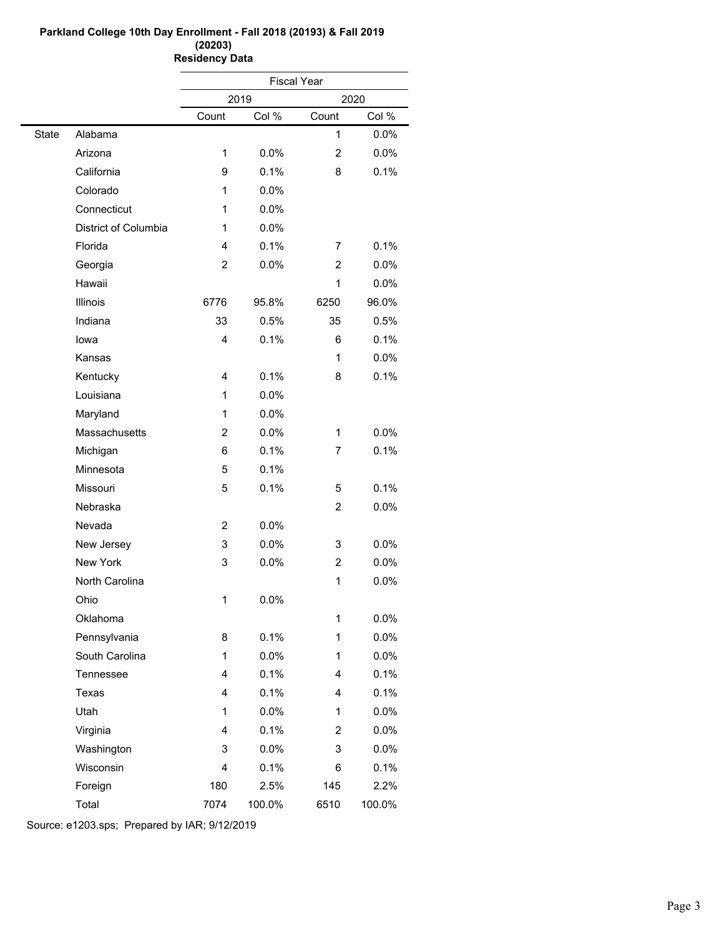#### **Parkland College 10th Day Enrollment - Fall 2018 (20193) & Fall 2019 (20203) Residency Data**

|              |                      | <b>Fiscal Year</b> |        |                |        |  |
|--------------|----------------------|--------------------|--------|----------------|--------|--|
|              |                      |                    | 2019   |                | 2020   |  |
|              |                      | Count              | Col %  | Count          | Col %  |  |
| <b>State</b> | Alabama              |                    |        | 1              | 0.0%   |  |
|              | Arizona              | 1                  | 0.0%   | $\overline{2}$ | 0.0%   |  |
|              | California           | 9                  | 0.1%   | 8              | 0.1%   |  |
|              | Colorado             | 1                  | 0.0%   |                |        |  |
|              | Connecticut          | 1                  | 0.0%   |                |        |  |
|              | District of Columbia | 1                  | 0.0%   |                |        |  |
|              | Florida              | 4                  | 0.1%   | 7              | 0.1%   |  |
|              | Georgia              | 2                  | 0.0%   | $\overline{2}$ | 0.0%   |  |
|              | Hawaii               |                    |        | 1              | 0.0%   |  |
|              | Illinois             | 6776               | 95.8%  | 6250           | 96.0%  |  |
|              | Indiana              | 33                 | 0.5%   | 35             | 0.5%   |  |
|              | lowa                 | 4                  | 0.1%   | 6              | 0.1%   |  |
|              | Kansas               |                    |        | 1              | 0.0%   |  |
|              | Kentucky             | 4                  | 0.1%   | 8              | 0.1%   |  |
|              | Louisiana            | 1                  | 0.0%   |                |        |  |
|              | Maryland             | 1                  | 0.0%   |                |        |  |
|              | Massachusetts        | $\overline{c}$     | 0.0%   | 1              | 0.0%   |  |
|              | Michigan             | 6                  | 0.1%   | 7              | 0.1%   |  |
|              | Minnesota            | 5                  | 0.1%   |                |        |  |
|              | Missouri             | 5                  | 0.1%   | 5              | 0.1%   |  |
|              | Nebraska             |                    |        | $\overline{2}$ | 0.0%   |  |
|              | Nevada               | 2                  | 0.0%   |                |        |  |
|              | New Jersey           | 3                  | 0.0%   | 3              | 0.0%   |  |
|              | New York             | 3                  | 0.0%   | $\overline{c}$ | 0.0%   |  |
|              | North Carolina       |                    |        | 1              | 0.0%   |  |
|              | Ohio                 | 1                  | 0.0%   |                |        |  |
|              | Oklahoma             |                    |        | 1              | 0.0%   |  |
|              | Pennsylvania         | 8                  | 0.1%   | 1              | 0.0%   |  |
|              | South Carolina       | 1                  | 0.0%   | 1              | 0.0%   |  |
|              | Tennessee            | 4                  | 0.1%   | 4              | 0.1%   |  |
|              | Texas                | 4                  | 0.1%   | 4              | 0.1%   |  |
|              | Utah                 | 1                  | 0.0%   | 1              | 0.0%   |  |
|              | Virginia             | 4                  | 0.1%   | 2              | 0.0%   |  |
|              | Washington           | 3                  | 0.0%   | 3              | 0.0%   |  |
|              | Wisconsin            | 4                  | 0.1%   | 6              | 0.1%   |  |
|              | Foreign              | 180                | 2.5%   | 145            | 2.2%   |  |
|              | Total                | 7074               | 100.0% | 6510           | 100.0% |  |

Source: e1203.sps; Prepared by IAR; 9/12/2019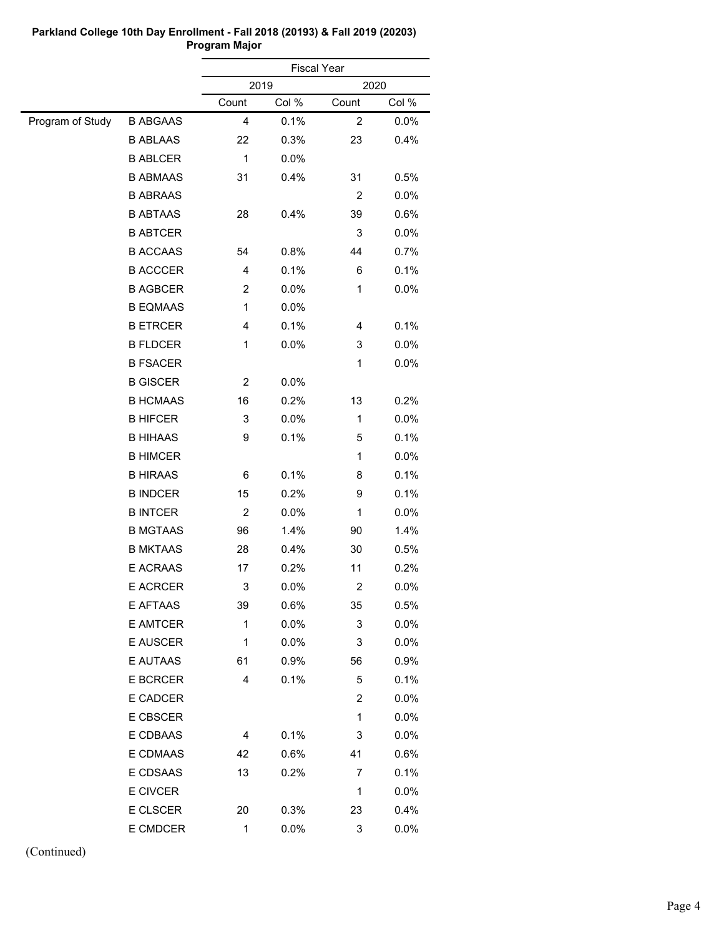|                  |                 |                         | <b>Fiscal Year</b> |                  |         |  |
|------------------|-----------------|-------------------------|--------------------|------------------|---------|--|
|                  |                 |                         | 2019               |                  | 2020    |  |
|                  |                 | Count                   | Col %              | Count            | Col %   |  |
| Program of Study | <b>B ABGAAS</b> | 4                       | 0.1%               | $\boldsymbol{2}$ | 0.0%    |  |
|                  | <b>B ABLAAS</b> | 22                      | 0.3%               | 23               | 0.4%    |  |
|                  | <b>B ABLCER</b> | $\mathbf 1$             | 0.0%               |                  |         |  |
|                  | <b>B ABMAAS</b> | 31                      | 0.4%               | 31               | 0.5%    |  |
|                  | <b>B ABRAAS</b> |                         |                    | 2                | 0.0%    |  |
|                  | <b>B ABTAAS</b> | 28                      | 0.4%               | 39               | 0.6%    |  |
|                  | <b>B ABTCER</b> |                         |                    | 3                | 0.0%    |  |
|                  | <b>B ACCAAS</b> | 54                      | 0.8%               | 44               | 0.7%    |  |
|                  | <b>B ACCCER</b> | 4                       | 0.1%               | 6                | 0.1%    |  |
|                  | <b>B AGBCER</b> | $\overline{\mathbf{c}}$ | 0.0%               | 1                | 0.0%    |  |
|                  | <b>B EQMAAS</b> | 1                       | 0.0%               |                  |         |  |
|                  | <b>B ETRCER</b> | 4                       | 0.1%               | 4                | 0.1%    |  |
|                  | <b>B FLDCER</b> | 1                       | 0.0%               | 3                | 0.0%    |  |
|                  | <b>B FSACER</b> |                         |                    | 1                | 0.0%    |  |
|                  | <b>B GISCER</b> | 2                       | 0.0%               |                  |         |  |
|                  | <b>B HCMAAS</b> | 16                      | 0.2%               | 13               | 0.2%    |  |
|                  | <b>B HIFCER</b> | 3                       | 0.0%               | 1                | 0.0%    |  |
|                  | <b>B HIHAAS</b> | 9                       | 0.1%               | 5                | 0.1%    |  |
|                  | <b>B HIMCER</b> |                         |                    | 1                | 0.0%    |  |
|                  | <b>B HIRAAS</b> | 6                       | 0.1%               | 8                | 0.1%    |  |
|                  | <b>B INDCER</b> | 15                      | 0.2%               | 9                | 0.1%    |  |
|                  | <b>B INTCER</b> | $\overline{\mathbf{c}}$ | 0.0%               | 1                | 0.0%    |  |
|                  | <b>B MGTAAS</b> | 96                      | 1.4%               | 90               | 1.4%    |  |
|                  | <b>B MKTAAS</b> | 28                      | 0.4%               | 30               | 0.5%    |  |
|                  | E ACRAAS        | 17                      | 0.2%               | 11               | 0.2%    |  |
|                  | <b>E ACRCER</b> | 3                       | 0.0%               | 2                | 0.0%    |  |
|                  | E AFTAAS        | 39                      | 0.6%               | 35               | 0.5%    |  |
|                  | E AMTCER        | 1                       | 0.0%               | 3                | 0.0%    |  |
|                  | E AUSCER        | 1                       | $0.0\%$            | 3                | $0.0\%$ |  |
|                  | E AUTAAS        | 61                      | 0.9%               | 56               | 0.9%    |  |
|                  | <b>E BCRCER</b> | 4                       | 0.1%               | 5                | 0.1%    |  |
|                  | E CADCER        |                         |                    | 2                | 0.0%    |  |
|                  | E CBSCER        |                         |                    | 1                | 0.0%    |  |
|                  | E CDBAAS        | 4                       | 0.1%               | 3                | 0.0%    |  |
|                  | E CDMAAS        | 42                      | 0.6%               | 41               | 0.6%    |  |
|                  | E CDSAAS        | 13                      | 0.2%               | 7                | 0.1%    |  |
|                  | E CIVCER        |                         |                    | 1                | 0.0%    |  |
|                  | E CLSCER        | 20                      | 0.3%               | 23               | 0.4%    |  |
|                  | E CMDCER        | $\mathbf{1}$            | 0.0%               | 3                | 0.0%    |  |
|                  |                 |                         |                    |                  |         |  |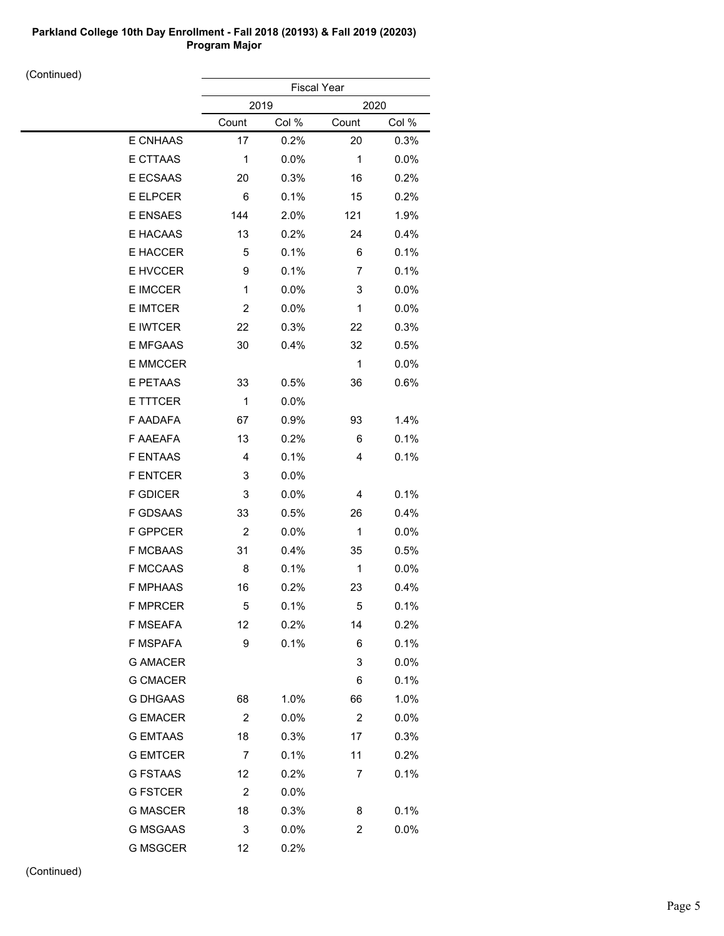| $\sim$ nunu $\sim$ |                 | <b>Fiscal Year</b> |         |                |         |  |  |
|--------------------|-----------------|--------------------|---------|----------------|---------|--|--|
|                    |                 |                    | 2019    |                | 2020    |  |  |
|                    |                 | Count              | Col %   | Count          | Col %   |  |  |
|                    | E CNHAAS        | 17                 | 0.2%    | 20             | 0.3%    |  |  |
|                    | E CTTAAS        | 1                  | 0.0%    | $\mathbf 1$    | 0.0%    |  |  |
|                    | E ECSAAS        | 20                 | 0.3%    | 16             | 0.2%    |  |  |
|                    | E ELPCER        | 6                  | 0.1%    | 15             | 0.2%    |  |  |
|                    | E ENSAES        | 144                | 2.0%    | 121            | 1.9%    |  |  |
|                    | E HACAAS        | 13                 | 0.2%    | 24             | 0.4%    |  |  |
|                    | E HACCER        | 5                  | 0.1%    | 6              | 0.1%    |  |  |
|                    | E HVCCER        | 9                  | 0.1%    | 7              | 0.1%    |  |  |
|                    | E IMCCER        | $\mathbf{1}$       | $0.0\%$ | 3              | 0.0%    |  |  |
|                    | <b>E IMTCER</b> | $\overline{c}$     | 0.0%    | 1              | 0.0%    |  |  |
|                    | <b>E IWTCER</b> | 22                 | 0.3%    | 22             | 0.3%    |  |  |
|                    | <b>E MFGAAS</b> | 30                 | 0.4%    | 32             | 0.5%    |  |  |
|                    | E MMCCER        |                    |         | $\mathbf 1$    | 0.0%    |  |  |
|                    | E PETAAS        | 33                 | 0.5%    | 36             | 0.6%    |  |  |
|                    | E TTTCER        | $\mathbf 1$        | $0.0\%$ |                |         |  |  |
|                    | F AADAFA        | 67                 | 0.9%    | 93             | 1.4%    |  |  |
|                    | F AAEAFA        | 13                 | 0.2%    | 6              | 0.1%    |  |  |
|                    | <b>F ENTAAS</b> | $\overline{4}$     | 0.1%    | 4              | 0.1%    |  |  |
|                    | <b>F ENTCER</b> | 3                  | $0.0\%$ |                |         |  |  |
|                    | <b>F GDICER</b> | 3                  | 0.0%    | 4              | 0.1%    |  |  |
|                    | F GDSAAS        | 33                 | 0.5%    | 26             | 0.4%    |  |  |
|                    | F GPPCER        | $\overline{c}$     | 0.0%    | 1              | 0.0%    |  |  |
|                    | <b>F MCBAAS</b> | 31                 | 0.4%    | 35             | 0.5%    |  |  |
|                    | <b>F MCCAAS</b> | 8                  | 0.1%    | $\mathbf 1$    | 0.0%    |  |  |
|                    | <b>F MPHAAS</b> | 16                 | 0.2%    | 23             | 0.4%    |  |  |
|                    | <b>F MPRCER</b> | 5                  | 0.1%    | 5              | 0.1%    |  |  |
|                    | F MSEAFA        | 12                 | 0.2%    | 14             | 0.2%    |  |  |
|                    | F MSPAFA        | 9                  | 0.1%    | 6              | 0.1%    |  |  |
|                    | <b>G AMACER</b> |                    |         | 3              | 0.0%    |  |  |
|                    | <b>G CMACER</b> |                    |         | 6              | 0.1%    |  |  |
|                    | <b>G DHGAAS</b> | 68                 | 1.0%    | 66             | 1.0%    |  |  |
|                    | <b>G EMACER</b> | $\overline{c}$     | 0.0%    | $\overline{c}$ | $0.0\%$ |  |  |
|                    | <b>G EMTAAS</b> | 18                 | 0.3%    | 17             | 0.3%    |  |  |
|                    | <b>G EMTCER</b> | 7                  | 0.1%    | 11             | 0.2%    |  |  |
|                    | <b>G FSTAAS</b> | 12                 | 0.2%    | 7              | 0.1%    |  |  |
|                    | <b>G FSTCER</b> | $\overline{c}$     | 0.0%    |                |         |  |  |
|                    | <b>G MASCER</b> | 18                 | 0.3%    | 8              | 0.1%    |  |  |
|                    | <b>G MSGAAS</b> | 3                  | 0.0%    | 2              | 0.0%    |  |  |
|                    | <b>G MSGCER</b> | 12                 | 0.2%    |                |         |  |  |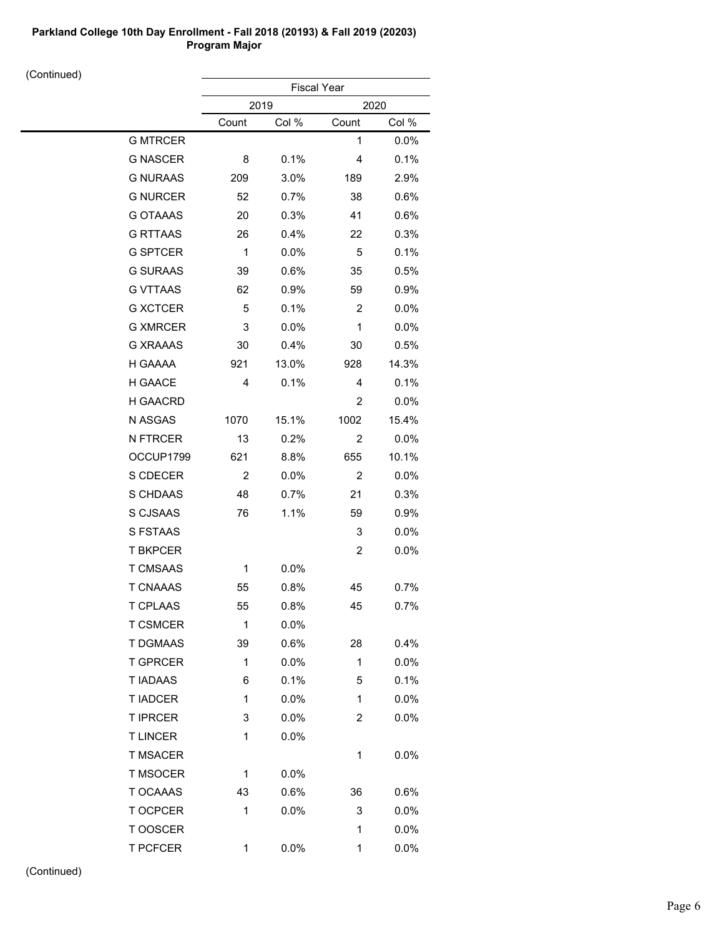(Continued)

| $\sim$ nunu $\sim$ |                 | <b>Fiscal Year</b> |         |                |         |  |
|--------------------|-----------------|--------------------|---------|----------------|---------|--|
|                    |                 | 2019               |         |                | 2020    |  |
|                    |                 | Count              | Col %   | Count          | Col %   |  |
|                    | <b>G MTRCER</b> |                    |         | 1              | 0.0%    |  |
|                    | <b>G NASCER</b> | 8                  | 0.1%    | 4              | 0.1%    |  |
|                    | <b>G NURAAS</b> | 209                | 3.0%    | 189            | 2.9%    |  |
|                    | <b>G NURCER</b> | 52                 | 0.7%    | 38             | 0.6%    |  |
|                    | <b>G OTAAAS</b> | 20                 | 0.3%    | 41             | 0.6%    |  |
|                    | <b>G RTTAAS</b> | 26                 | 0.4%    | 22             | 0.3%    |  |
|                    | <b>G SPTCER</b> | 1                  | $0.0\%$ | 5              | 0.1%    |  |
|                    | <b>G SURAAS</b> | 39                 | 0.6%    | 35             | 0.5%    |  |
|                    | <b>G VTTAAS</b> | 62                 | 0.9%    | 59             | 0.9%    |  |
|                    | <b>G XCTCER</b> | 5                  | 0.1%    | $\overline{c}$ | 0.0%    |  |
|                    | <b>G XMRCER</b> | 3                  | 0.0%    | 1              | $0.0\%$ |  |
|                    | <b>G XRAAAS</b> | 30                 | 0.4%    | 30             | 0.5%    |  |
|                    | H GAAAA         | 921                | 13.0%   | 928            | 14.3%   |  |
|                    | H GAACE         | $\overline{4}$     | 0.1%    | 4              | 0.1%    |  |
|                    | H GAACRD        |                    |         | 2              | 0.0%    |  |
|                    | N ASGAS         | 1070               | 15.1%   | 1002           | 15.4%   |  |
|                    | N FTRCER        | 13                 | 0.2%    | 2              | 0.0%    |  |
|                    | OCCUP1799       | 621                | 8.8%    | 655            | 10.1%   |  |
|                    | S CDECER        | $\overline{c}$     | $0.0\%$ | $\overline{c}$ | 0.0%    |  |
|                    | S CHDAAS        | 48                 | 0.7%    | 21             | 0.3%    |  |
|                    | S CJSAAS        | 76                 | 1.1%    | 59             | 0.9%    |  |
|                    | S FSTAAS        |                    |         | 3              | 0.0%    |  |
|                    | <b>T BKPCER</b> |                    |         | $\overline{c}$ | 0.0%    |  |
|                    | <b>T CMSAAS</b> | 1                  | 0.0%    |                |         |  |
|                    | <b>T CNAAAS</b> | 55                 | 0.8%    | 45             | 0.7%    |  |
|                    | T CPLAAS        | 55                 | 0.8%    | 45             | 0.7%    |  |
|                    | <b>T CSMCER</b> | 1                  | 0.0%    |                |         |  |
|                    | T DGMAAS        | 39                 | 0.6%    | 28             | 0.4%    |  |
|                    | <b>T GPRCER</b> | $\mathbf{1}$       | $0.0\%$ | $\mathbf{1}$   | 0.0%    |  |
|                    | <b>TIADAAS</b>  | 6                  | 0.1%    | 5              | 0.1%    |  |
|                    | <b>T IADCER</b> | $\mathbf{1}$       | 0.0%    | $\mathbf{1}$   | 0.0%    |  |
|                    | <b>T IPRCER</b> | 3                  | 0.0%    | 2              | $0.0\%$ |  |
|                    | <b>TLINCER</b>  | 1                  | 0.0%    |                |         |  |
|                    | <b>T MSACER</b> |                    |         | $\mathbf 1$    | 0.0%    |  |
|                    | <b>T MSOCER</b> | 1                  | 0.0%    |                |         |  |
|                    | T OCAAAS        | 43                 | 0.6%    | 36             | 0.6%    |  |
|                    | T OCPCER        | 1                  | 0.0%    | 3              | 0.0%    |  |
|                    | T OOSCER        |                    |         | 1              | 0.0%    |  |
|                    | <b>T PCFCER</b> | 1                  | 0.0%    | 1              | 0.0%    |  |
|                    |                 |                    |         |                |         |  |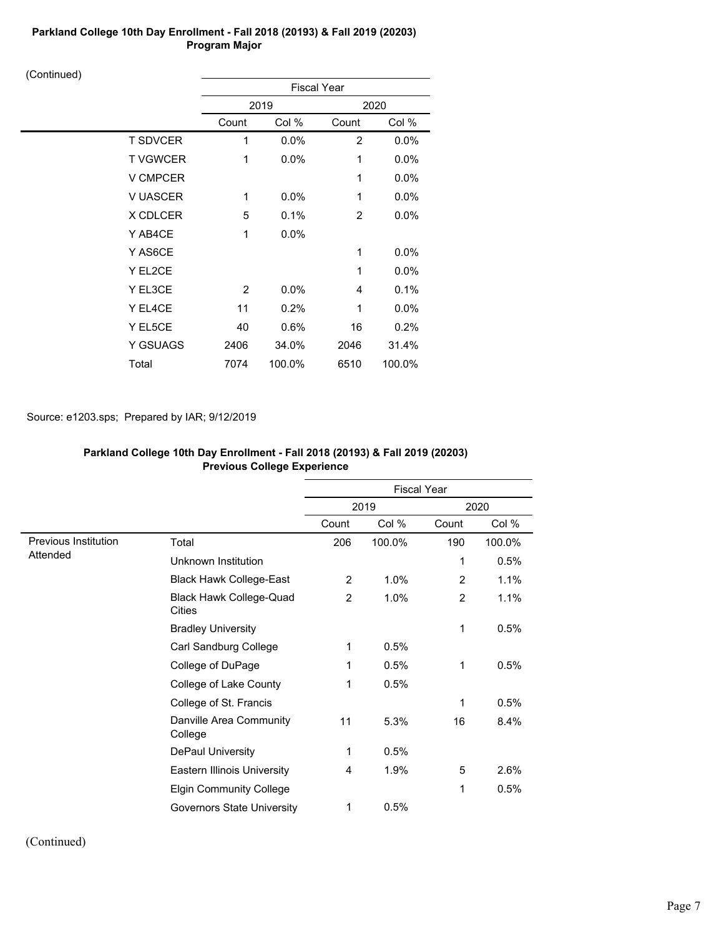(Continued)

| $\prime$        | <b>Fiscal Year</b> |        |       |         |  |
|-----------------|--------------------|--------|-------|---------|--|
|                 | 2019               |        |       | 2020    |  |
|                 | Count              | Col %  | Count | Col %   |  |
| <b>T SDVCER</b> | 1                  | 0.0%   | 2     | 0.0%    |  |
| <b>TVGWCER</b>  | 1                  | 0.0%   | 1     | 0.0%    |  |
| <b>V CMPCER</b> |                    |        | 1     | 0.0%    |  |
| <b>V UASCER</b> | 1                  | 0.0%   | 1     | 0.0%    |  |
| X CDLCER        | 5                  | 0.1%   | 2     | $0.0\%$ |  |
| Y AB4CE         | 1                  | 0.0%   |       |         |  |
| Y AS6CE         |                    |        | 1     | 0.0%    |  |
| Y EL2CE         |                    |        | 1     | $0.0\%$ |  |
| Y EL3CE         | $\overline{2}$     | 0.0%   | 4     | 0.1%    |  |
| Y EL4CE         | 11                 | 0.2%   | 1     | 0.0%    |  |
| Y EL5CE         | 40                 | 0.6%   | 16    | 0.2%    |  |
| Y GSUAGS        | 2406               | 34.0%  | 2046  | 31.4%   |  |
| Total           | 7074               | 100.0% | 6510  | 100.0%  |  |

## Source: e1203.sps; Prepared by IAR; 9/12/2019

|                      | <b>Previous College Experience</b>       |                    |        |       |        |  |
|----------------------|------------------------------------------|--------------------|--------|-------|--------|--|
|                      |                                          | <b>Fiscal Year</b> |        |       |        |  |
|                      |                                          |                    | 2019   |       | 2020   |  |
|                      |                                          | Count              | Col %  | Count | Col %  |  |
| Previous Institution | Total                                    | 206                | 100.0% | 190   | 100.0% |  |
| Attended             | Unknown Institution                      |                    |        | 1     | 0.5%   |  |
|                      | <b>Black Hawk College-East</b>           | $\overline{2}$     | 1.0%   | 2     | 1.1%   |  |
|                      | <b>Black Hawk College-Quad</b><br>Cities | 2                  | 1.0%   | 2     | 1.1%   |  |
|                      | <b>Bradley University</b>                |                    |        | 1     | 0.5%   |  |
|                      | Carl Sandburg College                    | 1                  | 0.5%   |       |        |  |
|                      | College of DuPage                        | 1                  | 0.5%   | 1     | 0.5%   |  |
|                      | College of Lake County                   | 1                  | 0.5%   |       |        |  |
|                      | College of St. Francis                   |                    |        | 1     | 0.5%   |  |
|                      | Danville Area Community<br>College       | 11                 | 5.3%   | 16    | 8.4%   |  |
|                      | DePaul University                        | 1                  | 0.5%   |       |        |  |
|                      | <b>Eastern Illinois University</b>       | 4                  | 1.9%   | 5     | 2.6%   |  |
|                      | <b>Elgin Community College</b>           |                    |        | 1     | 0.5%   |  |
|                      | Governors State University               | 1                  | 0.5%   |       |        |  |

# **Parkland College 10th Day Enrollment - Fall 2018 (20193) & Fall 2019 (20203)**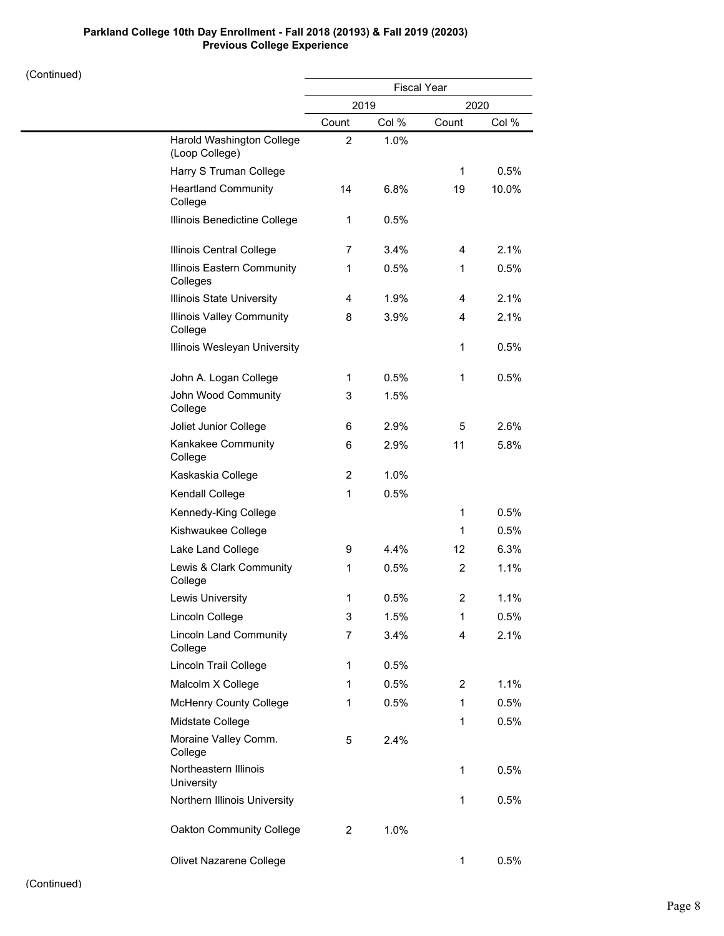## **Parkland College 10th Day Enrollment - Fall 2018 (20193) & Fall 2019 (20203) Previous College Experience**

|                                             | <b>Fiscal Year</b> |       |                |       |
|---------------------------------------------|--------------------|-------|----------------|-------|
|                                             |                    | 2019  |                | 2020  |
|                                             | Count              | Col % | Count          | Col % |
| Harold Washington College<br>(Loop College) | $\overline{2}$     | 1.0%  |                |       |
| Harry S Truman College                      |                    |       | $\mathbf 1$    | 0.5%  |
| <b>Heartland Community</b><br>College       | 14                 | 6.8%  | 19             | 10.0% |
| Illinois Benedictine College                | 1                  | 0.5%  |                |       |
| Illinois Central College                    | 7                  | 3.4%  | 4              | 2.1%  |
| Illinois Eastern Community<br>Colleges      | 1                  | 0.5%  | 1              | 0.5%  |
| Illinois State University                   | 4                  | 1.9%  | 4              | 2.1%  |
| <b>Illinois Valley Community</b><br>College | 8                  | 3.9%  | 4              | 2.1%  |
| Illinois Wesleyan University                |                    |       | 1              | 0.5%  |
| John A. Logan College                       | 1                  | 0.5%  | 1              | 0.5%  |
| John Wood Community<br>College              | 3                  | 1.5%  |                |       |
| Joliet Junior College                       | 6                  | 2.9%  | 5              | 2.6%  |
| Kankakee Community<br>College               | 6                  | 2.9%  | 11             | 5.8%  |
| Kaskaskia College                           | 2                  | 1.0%  |                |       |
| Kendall College                             | 1                  | 0.5%  |                |       |
| Kennedy-King College                        |                    |       | 1              | 0.5%  |
| Kishwaukee College                          |                    |       | 1              | 0.5%  |
| Lake Land College                           | 9                  | 4.4%  | 12             | 6.3%  |
| Lewis & Clark Community<br>College          | 1                  | 0.5%  | $\overline{2}$ | 1.1%  |
| <b>Lewis University</b>                     | 1                  | 0.5%  | 2              | 1.1%  |
| Lincoln College                             | 3                  | 1.5%  | 1              | 0.5%  |
| <b>Lincoln Land Community</b><br>College    | 7                  | 3.4%  | 4              | 2.1%  |
| Lincoln Trail College                       | $\mathbf{1}$       | 0.5%  |                |       |
| Malcolm X College                           | $\mathbf{1}$       | 0.5%  | $\overline{2}$ | 1.1%  |
| <b>McHenry County College</b>               | 1                  | 0.5%  | 1              | 0.5%  |
| Midstate College                            |                    |       | 1              | 0.5%  |
| Moraine Valley Comm.<br>College             | 5                  | 2.4%  |                |       |
| Northeastern Illinois<br><b>University</b>  |                    |       | $\mathbf{1}$   | 0.5%  |
| Northern Illinois University                |                    |       | $\mathbf{1}$   | 0.5%  |
| Oakton Community College                    | $\overline{2}$     | 1.0%  |                |       |
| Olivet Nazarene College                     |                    |       | 1              | 0.5%  |